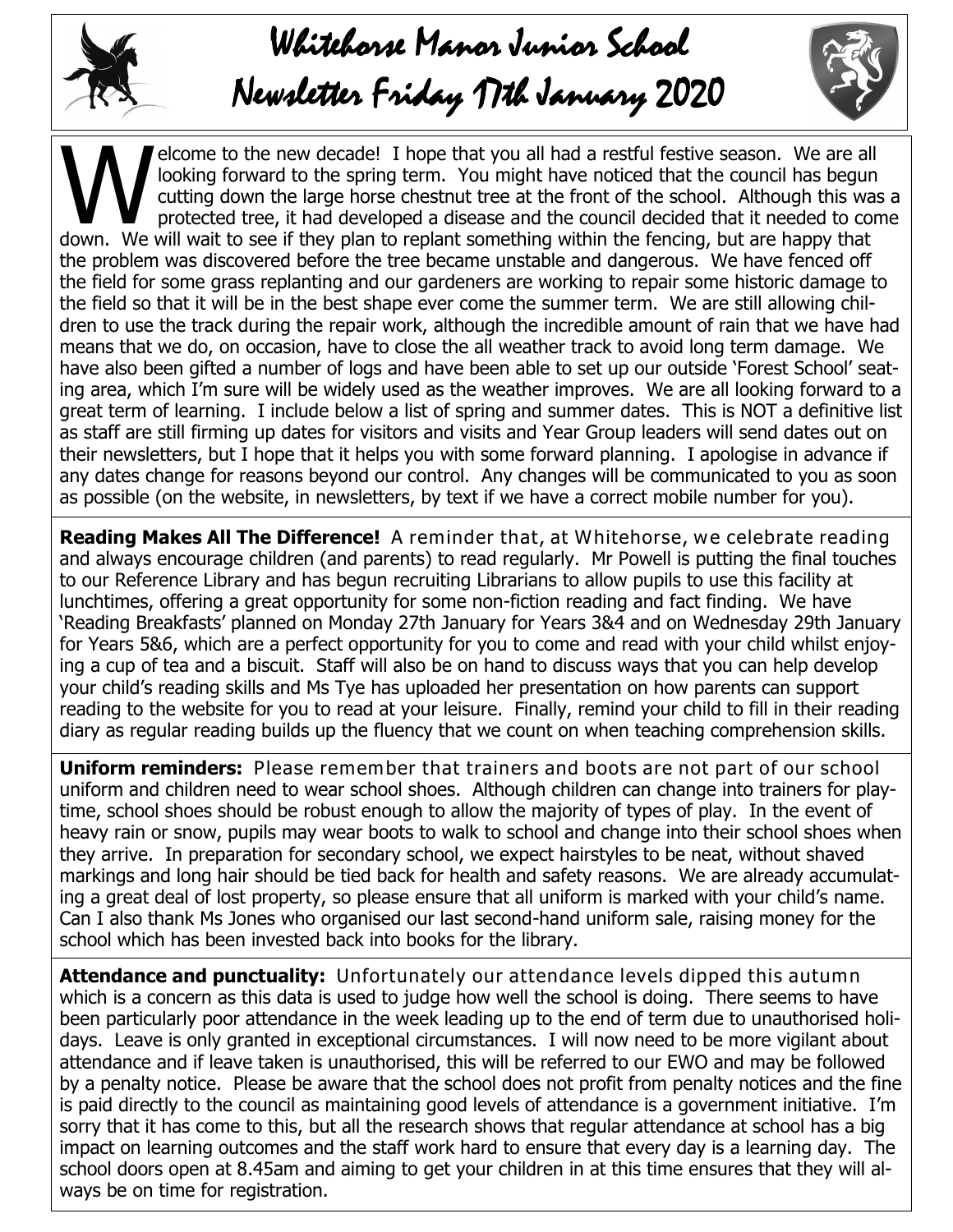

## Whitehorse Manor Junior School

## Newsletter Friday 17th January 2020

Musculture of the new decade! I hope that you all had a restful festive season. We are all looking forward to the spring term. You might have noticed that the council has begun cutting down the large horse chestnut tree at elcome to the new decade! I hope that you all had a restful festive season. We are all looking forward to the spring term. You might have noticed that the council has begun cutting down the large horse chestnut tree at the front of the school. Although this was a protected tree, it had developed a disease and the council decided that it needed to come the problem was discovered before the tree became unstable and dangerous. We have fenced off the field for some grass replanting and our gardeners are working to repair some historic damage to the field so that it will be in the best shape ever come the summer term. We are still allowing children to use the track during the repair work, although the incredible amount of rain that we have had means that we do, on occasion, have to close the all weather track to avoid long term damage. We have also been gifted a number of logs and have been able to set up our outside 'Forest School' seating area, which I'm sure will be widely used as the weather improves. We are all looking forward to a great term of learning. I include below a list of spring and summer dates. This is NOT a definitive list as staff are still firming up dates for visitors and visits and Year Group leaders will send dates out on their newsletters, but I hope that it helps you with some forward planning. I apologise in advance if any dates change for reasons beyond our control. Any changes will be communicated to you as soon as possible (on the website, in newsletters, by text if we have a correct mobile number for you).

**Reading Makes All The Difference!** A reminder that, at Whitehorse, we celebrate reading and always encourage children (and parents) to read regularly. Mr Powell is putting the final touches to our Reference Library and has begun recruiting Librarians to allow pupils to use this facility at lunchtimes, offering a great opportunity for some non-fiction reading and fact finding. We have 'Reading Breakfasts' planned on Monday 27th January for Years 3&4 and on Wednesday 29th January for Years 5&6, which are a perfect opportunity for you to come and read with your child whilst enjoying a cup of tea and a biscuit. Staff will also be on hand to discuss ways that you can help develop your child's reading skills and Ms Tye has uploaded her presentation on how parents can support reading to the website for you to read at your leisure. Finally, remind your child to fill in their reading diary as regular reading builds up the fluency that we count on when teaching comprehension skills.

**Uniform reminders:** Please remember that trainers and boots are not part of our school uniform and children need to wear school shoes. Although children can change into trainers for playtime, school shoes should be robust enough to allow the majority of types of play. In the event of heavy rain or snow, pupils may wear boots to walk to school and change into their school shoes when they arrive. In preparation for secondary school, we expect hairstyles to be neat, without shaved markings and long hair should be tied back for health and safety reasons. We are already accumulating a great deal of lost property, so please ensure that all uniform is marked with your child's name. Can I also thank Ms Jones who organised our last second-hand uniform sale, raising money for the school which has been invested back into books for the library.

**Attendance and punctuality:** Unfortunately our attendance levels dipped this autumn which is a concern as this data is used to judge how well the school is doing. There seems to have been particularly poor attendance in the week leading up to the end of term due to unauthorised holidays. Leave is only granted in exceptional circumstances. I will now need to be more vigilant about attendance and if leave taken is unauthorised, this will be referred to our EWO and may be followed by a penalty notice. Please be aware that the school does not profit from penalty notices and the fine is paid directly to the council as maintaining good levels of attendance is a government initiative. I'm sorry that it has come to this, but all the research shows that regular attendance at school has a big impact on learning outcomes and the staff work hard to ensure that every day is a learning day. The school doors open at 8.45am and aiming to get your children in at this time ensures that they will always be on time for registration.